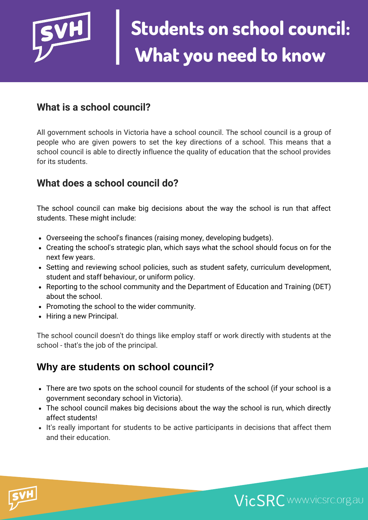

#### **What is a school council?**

All government schools in Victoria have a school council. The school council is a group of people who are given powers to set the key directions of a school. This means that a school council is able to directly influence the quality of education that the school provides for its students.

#### **What does a school council do?**

The school council can make big decisions about the way the school is run that affect students. These might include:

- Overseeing the school's finances (raising money, developing budgets).
- Creating the school's strategic plan, which says what the school should focus on for the next few years.
- Setting and reviewing school policies, such as student safety, curriculum development, student and staff behaviour, or uniform policy.
- Reporting to the school community and the Department of Education and Training (DET) about the school.
- Promoting the school to the wider community.
- Hiring a new Principal.

The school council doesn't do things like employ staff or work directly with students at the school - that's the job of the principal.

#### **Why are students on school council?**

- There are two spots on the school council for students of the school (if your school is a government secondary school in Victoria).
- The school council makes big decisions about the way the school is run, which directly affect students!
- It's really important for students to be active participants in decisions that affect them and their education.



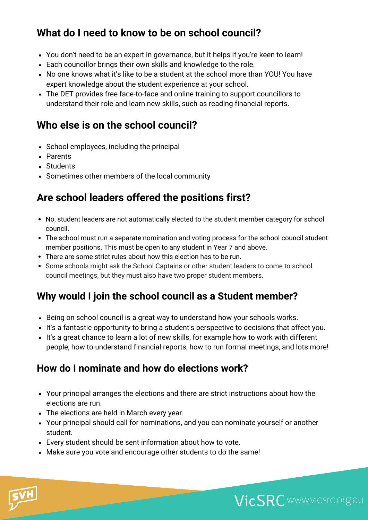## **What do I need to know to be on school council?**

- You don't need to be an expert in governance, but it helps if you're keen to learn!
- Each councillor brings their own skills and knowledge to the role.
- No one knows what it's like to be a student at the school more than YOU! You have expert knowledge about the student experience at your school.
- The DET provides free face-to-face and online training to support councillors to understand their role and learn new skills, such as reading financial reports.

## **Who else is on the school council?**

- School employees, including the principal
- Parents
- Students
- Sometimes other members of the local community

## **Are school leaders offered the positions first?**

- No, student leaders are not automatically elected to the student member category for school council.
- The school must run a separate nomination and voting process for the school council student member positions. This must be open to any student in Year 7 and above.
- There are some strict rules about how this election has to be run.
- Some schools might ask the School Captains or other student leaders to come to school council meetings, but they must also have two proper student members.

## **Why would I join the school council as a Student member?**

- Being on school council is a great way to understand how your schools works.
- It's a fantastic opportunity to bring a student's perspective to decisions that affect you.
- It's a great chance to learn a lot of new skills, for example how to work with different people, how to understand financial reports, how to run formal meetings, and lots more!

### **How do I nominate and how do elections work?**

- Your principal arranges the elections and there are strict instructions about how the elections are run.
- The elections are held in March every year.
- Your principal should call for nominations, and you can nominate yourself or another student.

VicSRC www.vicsrc.org.au

- Every student should be sent information about how to vote.
- Make sure you vote and encourage other students to do the same!